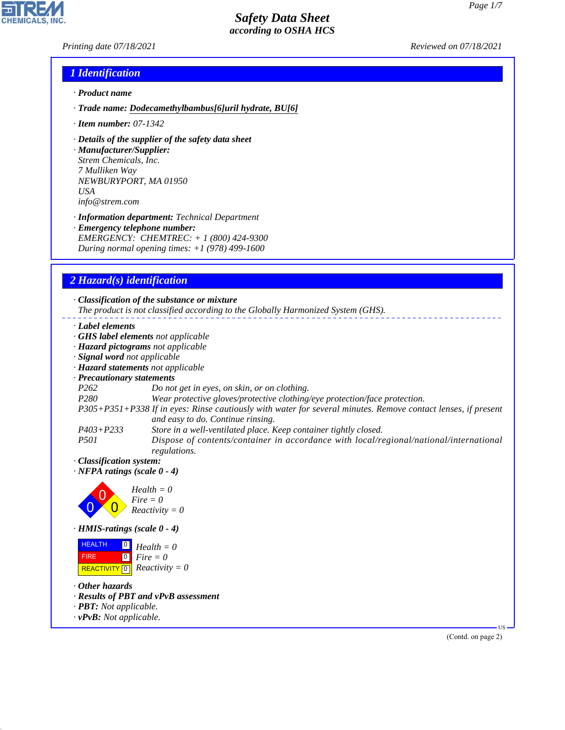### *Printing date 07/18/2021 Reviewed on 07/18/2021*

### *1 Identification*

- *· Product name*
- *· Trade name: Dodecamethylbambus[6]uril hydrate, BU[6]*
- *· Item number: 07-1342*
- *· Details of the supplier of the safety data sheet*
- *· Manufacturer/Supplier: Strem Chemicals, Inc. 7 Mulliken Way NEWBURYPORT, MA 01950 USA info@strem.com*
- *· Information department: Technical Department · Emergency telephone number: EMERGENCY: CHEMTREC: + 1 (800) 424-9300 During normal opening times: +1 (978) 499-1600*

## *2 Hazard(s) identification*

*· Classification of the substance or mixture The product is not classified according to the Globally Harmonized System (GHS). · Label elements · GHS label elements not applicable · Hazard pictograms not applicable · Signal word not applicable · Hazard statements not applicable · Precautionary statements P262 Do not get in eyes, on skin, or on clothing. P280 Wear protective gloves/protective clothing/eye protection/face protection. P305+P351+P338 If in eyes: Rinse cautiously with water for several minutes. Remove contact lenses, if present and easy to do. Continue rinsing. P403+P233 Store in a well-ventilated place. Keep container tightly closed. P501 Dispose of contents/container in accordance with local/regional/national/international regulations. · Classification system: · NFPA ratings (scale 0 - 4) Health = 0*



*· HMIS-ratings (scale 0 - 4)*

| <b>HEALTH</b>     | $\begin{bmatrix} 0 \\ H \end{bmatrix}$ Health = 0           |
|-------------------|-------------------------------------------------------------|
| FIRE <sup>1</sup> | $\begin{bmatrix} \bullet \\ \bullet \end{bmatrix}$ Fire = 0 |
|                   | REACTIVITY $\boxed{0}$ <i>Reactivity</i> = 0                |

*· Other hazards*

44.1.1

- *· Results of PBT and vPvB assessment*
- *· PBT: Not applicable.*
- *· vPvB: Not applicable.*

(Contd. on page 2)

US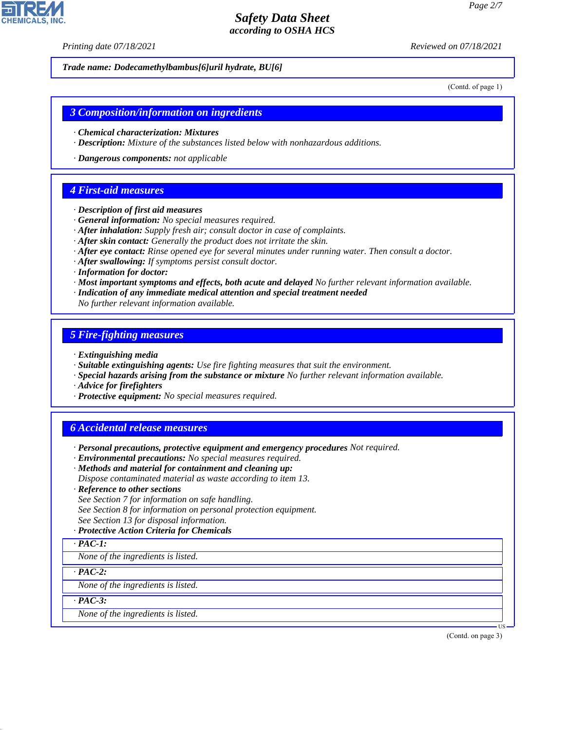*Printing date 07/18/2021 Reviewed on 07/18/2021*

*Trade name: Dodecamethylbambus[6]uril hydrate, BU[6]*

(Contd. of page 1)

#### *3 Composition/information on ingredients*

- *· Chemical characterization: Mixtures*
- *· Description: Mixture of the substances listed below with nonhazardous additions.*
- *· Dangerous components: not applicable*

#### *4 First-aid measures*

- *· Description of first aid measures*
- *· General information: No special measures required.*
- *· After inhalation: Supply fresh air; consult doctor in case of complaints.*
- *· After skin contact: Generally the product does not irritate the skin.*
- *· After eye contact: Rinse opened eye for several minutes under running water. Then consult a doctor.*
- *· After swallowing: If symptoms persist consult doctor.*
- *· Information for doctor:*
- *· Most important symptoms and effects, both acute and delayed No further relevant information available.*
- *· Indication of any immediate medical attention and special treatment needed*
- *No further relevant information available.*

#### *5 Fire-fighting measures*

- *· Extinguishing media*
- *· Suitable extinguishing agents: Use fire fighting measures that suit the environment.*
- *· Special hazards arising from the substance or mixture No further relevant information available.*
- *· Advice for firefighters*
- *· Protective equipment: No special measures required.*

## *6 Accidental release measures*

- *· Personal precautions, protective equipment and emergency procedures Not required.*
- *· Environmental precautions: No special measures required.*
- *· Methods and material for containment and cleaning up:*
- *Dispose contaminated material as waste according to item 13.*
- *· Reference to other sections*
- *See Section 7 for information on safe handling.*
- *See Section 8 for information on personal protection equipment.*
- *See Section 13 for disposal information.*

#### *· Protective Action Criteria for Chemicals*

*· PAC-1:*

*None of the ingredients is listed.*

*· PAC-2:*

*None of the ingredients is listed.*

*· PAC-3:*

44.1.1

*None of the ingredients is listed.*

(Contd. on page 3)

US

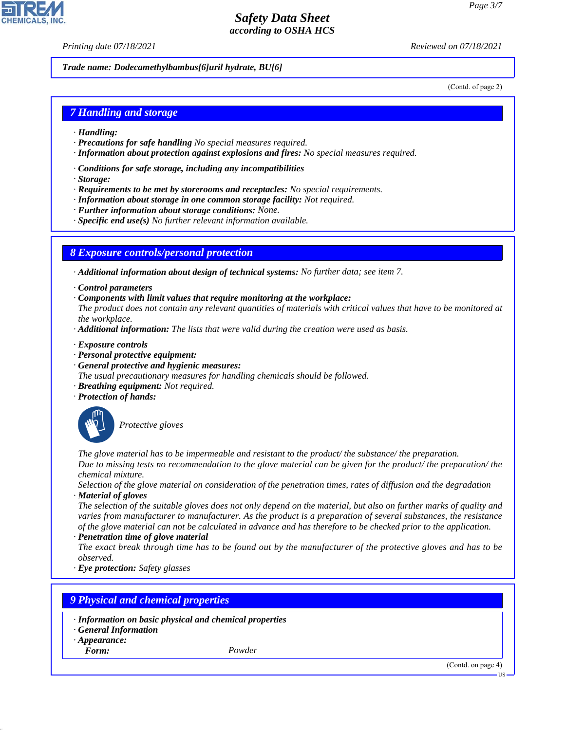*Printing date 07/18/2021 Reviewed on 07/18/2021*

*Trade name: Dodecamethylbambus[6]uril hydrate, BU[6]*

(Contd. of page 2)

### *7 Handling and storage*

- *· Handling:*
- *· Precautions for safe handling No special measures required.*
- *· Information about protection against explosions and fires: No special measures required.*
- *· Conditions for safe storage, including any incompatibilities*
- *· Storage:*
- *· Requirements to be met by storerooms and receptacles: No special requirements.*
- *· Information about storage in one common storage facility: Not required.*
- *· Further information about storage conditions: None.*
- *· Specific end use(s) No further relevant information available.*

#### *8 Exposure controls/personal protection*

*· Additional information about design of technical systems: No further data; see item 7.*

- *· Control parameters*
- *· Components with limit values that require monitoring at the workplace:*
- *The product does not contain any relevant quantities of materials with critical values that have to be monitored at the workplace.*
- *· Additional information: The lists that were valid during the creation were used as basis.*
- *· Exposure controls*
- *· Personal protective equipment:*
- *· General protective and hygienic measures:*
- *The usual precautionary measures for handling chemicals should be followed.*
- *· Breathing equipment: Not required.*
- *· Protection of hands:*



\_S*Protective gloves*

*The glove material has to be impermeable and resistant to the product/ the substance/ the preparation. Due to missing tests no recommendation to the glove material can be given for the product/ the preparation/ the chemical mixture.*

*Selection of the glove material on consideration of the penetration times, rates of diffusion and the degradation · Material of gloves*

*The selection of the suitable gloves does not only depend on the material, but also on further marks of quality and varies from manufacturer to manufacturer. As the product is a preparation of several substances, the resistance of the glove material can not be calculated in advance and has therefore to be checked prior to the application.*

*· Penetration time of glove material*

*The exact break through time has to be found out by the manufacturer of the protective gloves and has to be observed.*

*· Eye protection: Safety glasses*

### *9 Physical and chemical properties*

- *· Information on basic physical and chemical properties*
- *· General Information*
- *· Appearance:*
- *Form: Powder*

44.1.1

(Contd. on page 4)

US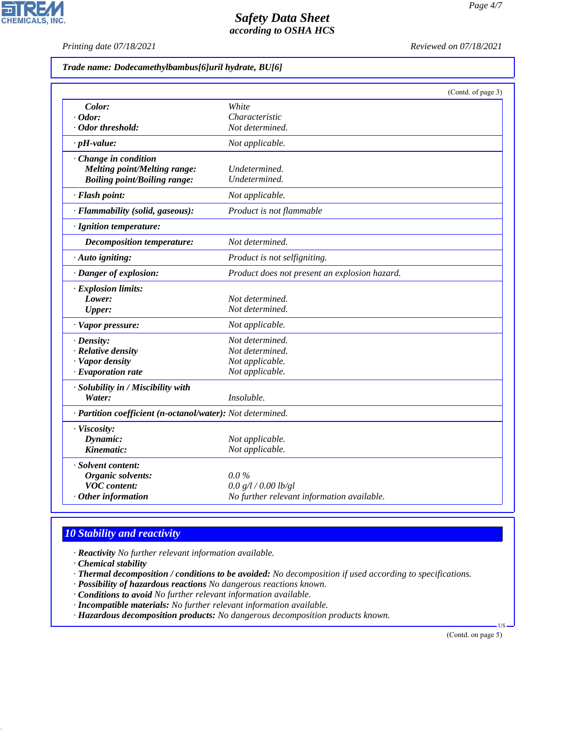*Printing date 07/18/2021 Reviewed on 07/18/2021*

 $\overline{\phantom{a}}$ 

**CHEMICALS, INC.** 

|  |  |  | Trade name: Dodecamethylbambus[6]uril hydrate, BU[6] |
|--|--|--|------------------------------------------------------|
|--|--|--|------------------------------------------------------|

|                                                            | (Contd. of page 3)                            |
|------------------------------------------------------------|-----------------------------------------------|
| Color:                                                     | White                                         |
| $\cdot$ Odor:                                              | Characteristic                                |
| · Odor threshold:                                          | Not determined.                               |
| $\cdot$ pH-value:                                          | Not applicable.                               |
| · Change in condition                                      |                                               |
| <b>Melting point/Melting range:</b>                        | Undetermined.                                 |
| <b>Boiling point/Boiling range:</b>                        | Undetermined.                                 |
| · Flash point:                                             | Not applicable.                               |
| · Flammability (solid, gaseous):                           | Product is not flammable                      |
| · Ignition temperature:                                    |                                               |
| <b>Decomposition temperature:</b>                          | Not determined.                               |
| · Auto igniting:                                           | Product is not selfigniting.                  |
| · Danger of explosion:                                     | Product does not present an explosion hazard. |
| · Explosion limits:                                        |                                               |
| Lower:                                                     | Not determined.                               |
| <b>Upper:</b>                                              | Not determined.                               |
| · Vapor pressure:                                          | Not applicable.                               |
| $\cdot$ Density:                                           | Not determined.                               |
| $\cdot$ Relative density                                   | Not determined.                               |
| · Vapor density                                            | Not applicable.                               |
| $\cdot$ Evaporation rate                                   | Not applicable.                               |
| · Solubility in / Miscibility with                         |                                               |
| Water:                                                     | Insoluble.                                    |
| · Partition coefficient (n-octanol/water): Not determined. |                                               |
| · Viscosity:                                               |                                               |
| Dynamic:                                                   | Not applicable.                               |
| Kinematic:                                                 | Not applicable.                               |
| · Solvent content:                                         |                                               |
| Organic solvents:                                          | $0.0\%$                                       |
| <b>VOC</b> content:                                        | 0.0 g/l / 0.00 lb/gl                          |
| $\cdot$ Other information                                  | No further relevant information available.    |

# *10 Stability and reactivity*

*· Reactivity No further relevant information available.*

*· Chemical stability*

44.1.1

*· Thermal decomposition / conditions to be avoided: No decomposition if used according to specifications.*

*· Possibility of hazardous reactions No dangerous reactions known.*

*· Conditions to avoid No further relevant information available.*

*· Incompatible materials: No further relevant information available.*

*· Hazardous decomposition products: No dangerous decomposition products known.*

(Contd. on page 5)

US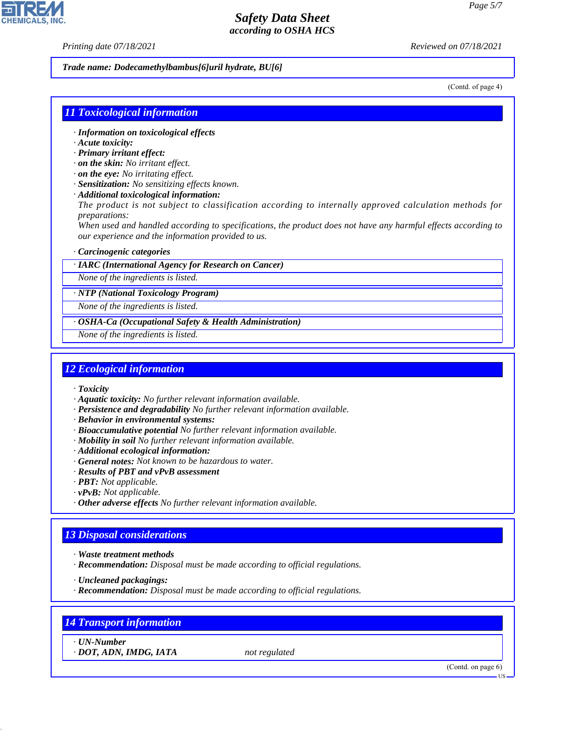*Printing date 07/18/2021 Reviewed on 07/18/2021*

#### *Trade name: Dodecamethylbambus[6]uril hydrate, BU[6]*

(Contd. of page 4)

### *11 Toxicological information*

- *· Information on toxicological effects*
- *· Acute toxicity:*
- *· Primary irritant effect:*
- *· on the skin: No irritant effect.*
- *· on the eye: No irritating effect.*
- *· Sensitization: No sensitizing effects known.*
- *· Additional toxicological information:*

*The product is not subject to classification according to internally approved calculation methods for preparations:*

*When used and handled according to specifications, the product does not have any harmful effects according to our experience and the information provided to us.*

#### *· Carcinogenic categories*

*· IARC (International Agency for Research on Cancer)*

*None of the ingredients is listed.*

*· NTP (National Toxicology Program)*

*None of the ingredients is listed.*

*· OSHA-Ca (Occupational Safety & Health Administration)*

*None of the ingredients is listed.*

#### *12 Ecological information*

- *· Toxicity*
- *· Aquatic toxicity: No further relevant information available.*
- *· Persistence and degradability No further relevant information available.*
- *· Behavior in environmental systems:*
- *· Bioaccumulative potential No further relevant information available.*
- *· Mobility in soil No further relevant information available.*
- *· Additional ecological information:*
- *· General notes: Not known to be hazardous to water.*
- *· Results of PBT and vPvB assessment*
- *· PBT: Not applicable.*
- *· vPvB: Not applicable.*
- *· Other adverse effects No further relevant information available.*

### *13 Disposal considerations*

- *· Waste treatment methods*
- *· Recommendation: Disposal must be made according to official regulations.*

*· Uncleaned packagings:*

*· Recommendation: Disposal must be made according to official regulations.*

## *14 Transport information*

*· UN-Number*

44.1.1

*· DOT, ADN, IMDG, IATA not regulated*

(Contd. on page 6)

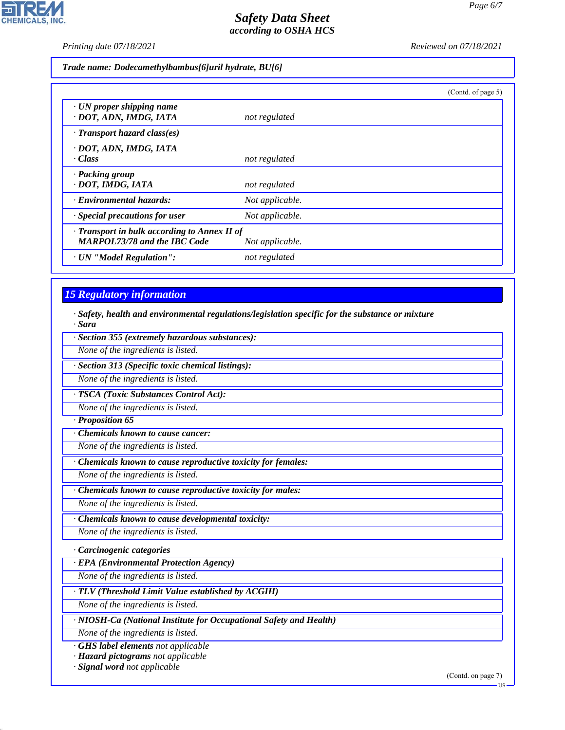*Printing date 07/18/2021 Reviewed on 07/18/2021*

**CHEMICALS, INC.** 

*Trade name: Dodecamethylbambus[6]uril hydrate, BU[6]*

|                                                                                     |                 | (Contd. of page 5) |
|-------------------------------------------------------------------------------------|-----------------|--------------------|
| · UN proper shipping name<br>· DOT, ADN, IMDG, IATA                                 | not regulated   |                    |
| $\cdot$ Transport hazard class(es)                                                  |                 |                    |
| · DOT, ADN, IMDG, IATA<br>· Class                                                   | not regulated   |                    |
| · Packing group<br>· DOT, IMDG, IATA                                                | not regulated   |                    |
| · Environmental hazards:                                                            | Not applicable. |                    |
| · Special precautions for user                                                      | Not applicable. |                    |
| · Transport in bulk according to Annex II of<br><b>MARPOL73/78 and the IBC Code</b> | Not applicable. |                    |
| · UN "Model Regulation":                                                            | not regulated   |                    |

## *15 Regulatory information*

*· Safety, health and environmental regulations/legislation specific for the substance or mixture · Sara*

*· Section 355 (extremely hazardous substances):*

*None of the ingredients is listed.*

*· Section 313 (Specific toxic chemical listings):*

*None of the ingredients is listed.*

*· TSCA (Toxic Substances Control Act):*

*None of the ingredients is listed.*

*· Proposition 65*

*· Chemicals known to cause cancer:*

*None of the ingredients is listed.*

*· Chemicals known to cause reproductive toxicity for females:*

*None of the ingredients is listed.*

*· Chemicals known to cause reproductive toxicity for males:*

*None of the ingredients is listed.*

*· Chemicals known to cause developmental toxicity:*

*None of the ingredients is listed.*

*· Carcinogenic categories*

*· EPA (Environmental Protection Agency)*

*None of the ingredients is listed.*

*· TLV (Threshold Limit Value established by ACGIH)*

*None of the ingredients is listed.*

*· NIOSH-Ca (National Institute for Occupational Safety and Health)*

*None of the ingredients is listed.*

*· GHS label elements not applicable*

*· Hazard pictograms not applicable*

*· Signal word not applicable*

44.1.1

(Contd. on page 7)

**HS**